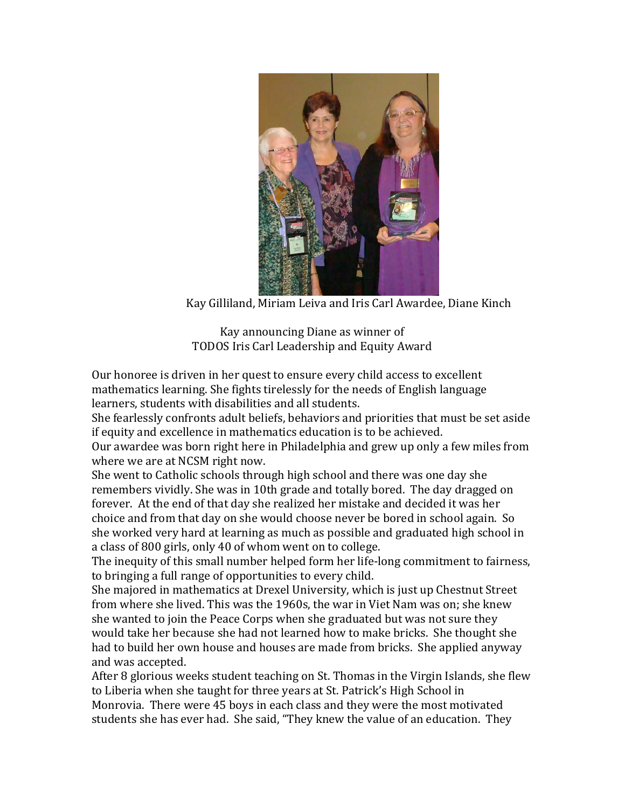

Kay Gilliland, Miriam Leiva and Iris Carl Awardee, Diane Kinch

Kay announcing Diane as winner of TODOS Iris Carl Leadership and Equity Award

Our honoree is driven in her quest to ensure every child access to excellent mathematics learning. She fights tirelessly for the needs of English language learners, students with disabilities and all students.

She fearlessly confronts adult beliefs, behaviors and priorities that must be set aside if equity and excellence in mathematics education is to be achieved.

Our awardee was born right here in Philadelphia and grew up only a few miles from where we are at NCSM right now.

She went to Catholic schools through high school and there was one day she remembers vividly. She was in 10th grade and totally bored. The day dragged on forever. At the end of that day she realized her mistake and decided it was her choice and from that day on she would choose never be bored in school again. So she worked very hard at learning as much as possible and graduated high school in a class of 800 girls, only 40 of whom went on to college.

The inequity of this small number helped form her life-long commitment to fairness, to bringing a full range of opportunities to every child.

She majored in mathematics at Drexel University, which is just up Chestnut Street from where she lived. This was the 1960s, the war in Viet Nam was on; she knew she wanted to join the Peace Corps when she graduated but was not sure they would take her because she had not learned how to make bricks. She thought she had to build her own house and houses are made from bricks. She applied anyway and was accepted.

After  $8$  glorious weeks student teaching on St. Thomas in the Virgin Islands, she flew to Liberia when she taught for three years at St. Patrick's High School in Monrovia. There were 45 boys in each class and they were the most motivated students she has ever had. She said, "They knew the value of an education. They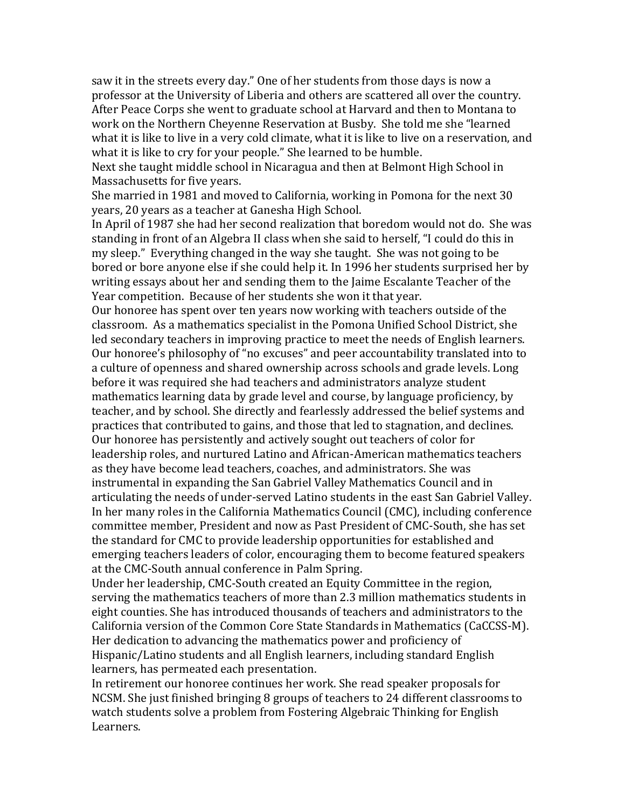saw it in the streets every day." One of her students from those days is now a professor at the University of Liberia and others are scattered all over the country. After Peace Corps she went to graduate school at Harvard and then to Montana to work on the Northern Cheyenne Reservation at Busby. She told me she "learned what it is like to live in a very cold climate, what it is like to live on a reservation, and what it is like to cry for your people." She learned to be humble.

Next she taught middle school in Nicaragua and then at Belmont High School in Massachusetts for five years.

She married in 1981 and moved to California, working in Pomona for the next 30 vears, 20 years as a teacher at Ganesha High School.

In April of 1987 she had her second realization that boredom would not do. She was standing in front of an Algebra II class when she said to herself, "I could do this in my sleep." Everything changed in the way she taught. She was not going to be bored or bore anyone else if she could help it. In 1996 her students surprised her by writing essays about her and sending them to the Jaime Escalante Teacher of the Year competition. Because of her students she won it that year.

Our honoree has spent over ten years now working with teachers outside of the classroom. As a mathematics specialist in the Pomona Unified School District, she led secondary teachers in improving practice to meet the needs of English learners. Our honoree's philosophy of "no excuses" and peer accountability translated into to a culture of openness and shared ownership across schools and grade levels. Long before it was required she had teachers and administrators analyze student mathematics learning data by grade level and course, by language proficiency, by teacher, and by school. She directly and fearlessly addressed the belief systems and practices that contributed to gains, and those that led to stagnation, and declines. Our honoree has persistently and actively sought out teachers of color for leadership roles, and nurtured Latino and African-American mathematics teachers as they have become lead teachers, coaches, and administrators. She was instrumental in expanding the San Gabriel Valley Mathematics Council and in articulating the needs of under-served Latino students in the east San Gabriel Valley. In her many roles in the California Mathematics Council (CMC), including conference committee member, President and now as Past President of CMC-South, she has set the standard for CMC to provide leadership opportunities for established and emerging teachers leaders of color, encouraging them to become featured speakers at the CMC-South annual conference in Palm Spring.

Under her leadership, CMC-South created an Equity Committee in the region, serving the mathematics teachers of more than 2.3 million mathematics students in eight counties. She has introduced thousands of teachers and administrators to the California version of the Common Core State Standards in Mathematics (CaCCSS-M). Her dedication to advancing the mathematics power and proficiency of Hispanic/Latino students and all English learners, including standard English learners, has permeated each presentation.

In retirement our honoree continues her work. She read speaker proposals for NCSM. She just finished bringing 8 groups of teachers to 24 different classrooms to watch students solve a problem from Fostering Algebraic Thinking for English Learners.